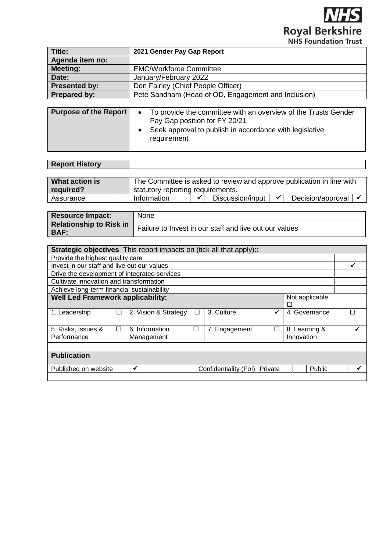**NHS Royal Berkshire** 

| Title:                       | 2021 Gender Pay Gap Report                                                                                                                                                                      |
|------------------------------|-------------------------------------------------------------------------------------------------------------------------------------------------------------------------------------------------|
| Agenda item no:              |                                                                                                                                                                                                 |
| <b>Meeting:</b>              | <b>EMC/Workforce Committee</b>                                                                                                                                                                  |
| Date:                        | January/February 2022                                                                                                                                                                           |
| <b>Presented by:</b>         | Don Fairley (Chief People Officer)                                                                                                                                                              |
| Prepared by:                 | Pete Sandham (Head of OD, Engagement and Inclusion)                                                                                                                                             |
|                              |                                                                                                                                                                                                 |
| <b>Purpose of the Report</b> | To provide the committee with an overview of the Trusts Gender<br>$D_{\text{max}}$ $D_{\text{max}}$ $\sim$ $\sim$ $11$ $\sim$ $11$ $\sim$ $\sim$ $\sim$ $11$ $\sim$ $\sim$ $\sim$ $\sim$ $\sim$ |

| Pay Gap position for FY 20/21                             |
|-----------------------------------------------------------|
| • Seek approval to publish in accordance with legislative |
| requirement                                               |

| <b>Report History</b> |  |
|-----------------------|--|
|                       |  |

| What action is | The Committee is asked to review and approve publication in line with |  |                  |  |                               |  |  |  |
|----------------|-----------------------------------------------------------------------|--|------------------|--|-------------------------------|--|--|--|
| required?      | statutory reporting requirements.                                     |  |                  |  |                               |  |  |  |
| Assurance      | Information                                                           |  | Discussion/input |  | Decision/approval $\sqrt{\ }$ |  |  |  |

| <b>Resource Impact:</b>                       | <b>None</b>                                            |
|-----------------------------------------------|--------------------------------------------------------|
| <b>Relationship to Risk in</b><br><b>BAF:</b> | Failure to Invest in our staff and live out our values |

| <b>Strategic objectives</b> This report impacts on (tick all that apply): |   |                              |   |                       |   |                             |               |  |
|---------------------------------------------------------------------------|---|------------------------------|---|-----------------------|---|-----------------------------|---------------|--|
| Provide the highest quality care                                          |   |                              |   |                       |   |                             |               |  |
| Invest in our staff and live out our values                               |   |                              |   |                       |   |                             |               |  |
| Drive the development of integrated services                              |   |                              |   |                       |   |                             |               |  |
| Cultivate innovation and transformation                                   |   |                              |   |                       |   |                             |               |  |
| Achieve long-term financial sustainability                                |   |                              |   |                       |   |                             |               |  |
| <b>Well Led Framework applicability:</b><br>Not applicable<br>Г           |   |                              |   |                       |   |                             |               |  |
| 1. Leadership                                                             | П | 2. Vision & Strategy         | □ | 3. Culture            |   |                             | 4. Governance |  |
| 5. Risks, Issues &<br>Performance                                         | П | 6. Information<br>Management | □ | 7. Engagement         | Г | 8. Learning &<br>Innovation |               |  |
| <b>Publication</b><br>Public<br>Private<br>✔                              |   |                              |   |                       |   |                             |               |  |
| Published on website                                                      |   |                              |   | Confidentiality (Fol) |   |                             |               |  |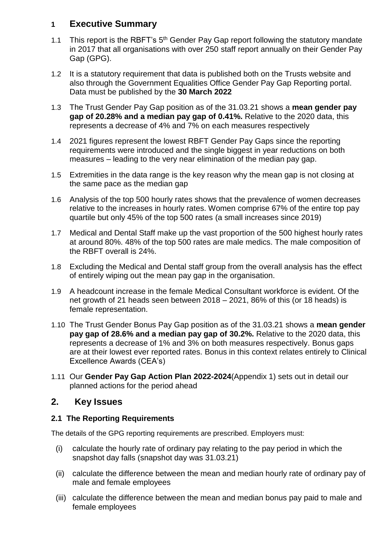## **1 Executive Summary**

- 1.1 This report is the RBFT's 5<sup>th</sup> Gender Pay Gap report following the statutory mandate in 2017 that all organisations with over 250 staff report annually on their Gender Pay Gap (GPG).
- 1.2 It is a statutory requirement that data is published both on the Trusts website and also through the Government Equalities Office Gender Pay Gap Reporting portal. Data must be published by the **30 March 2022**
- 1.3 The Trust Gender Pay Gap position as of the 31.03.21 shows a **mean gender pay gap of 20.28% and a median pay gap of 0.41%.** Relative to the 2020 data, this represents a decrease of 4% and 7% on each measures respectively
- 1.4 2021 figures represent the lowest RBFT Gender Pay Gaps since the reporting requirements were introduced and the single biggest in year reductions on both measures – leading to the very near elimination of the median pay gap.
- 1.5 Extremities in the data range is the key reason why the mean gap is not closing at the same pace as the median gap
- 1.6 Analysis of the top 500 hourly rates shows that the prevalence of women decreases relative to the increases in hourly rates. Women comprise 67% of the entire top pay quartile but only 45% of the top 500 rates (a small increases since 2019)
- 1.7 Medical and Dental Staff make up the vast proportion of the 500 highest hourly rates at around 80%. 48% of the top 500 rates are male medics. The male composition of the RBFT overall is 24%.
- 1.8 Excluding the Medical and Dental staff group from the overall analysis has the effect of entirely wiping out the mean pay gap in the organisation.
- 1.9 A headcount increase in the female Medical Consultant workforce is evident. Of the net growth of 21 heads seen between 2018 – 2021, 86% of this (or 18 heads) is female representation.
- 1.10 The Trust Gender Bonus Pay Gap position as of the 31.03.21 shows a **mean gender pay gap of 28.6% and a median pay gap of 30.2%.** Relative to the 2020 data, this represents a decrease of 1% and 3% on both measures respectively. Bonus gaps are at their lowest ever reported rates. Bonus in this context relates entirely to Clinical Excellence Awards (CEA's)
- 1.11 Our **Gender Pay Gap Action Plan 2022-2024**(Appendix 1) sets out in detail our planned actions for the period ahead

# **2. Key Issues**

## **2.1 The Reporting Requirements**

The details of the GPG reporting requirements are prescribed. Employers must:

- (i) calculate the hourly rate of ordinary pay relating to the pay period in which the snapshot day falls (snapshot day was 31.03.21)
- (ii) calculate the difference between the mean and median hourly rate of ordinary pay of male and female employees
- (iii) calculate the difference between the mean and median bonus pay paid to male and female employees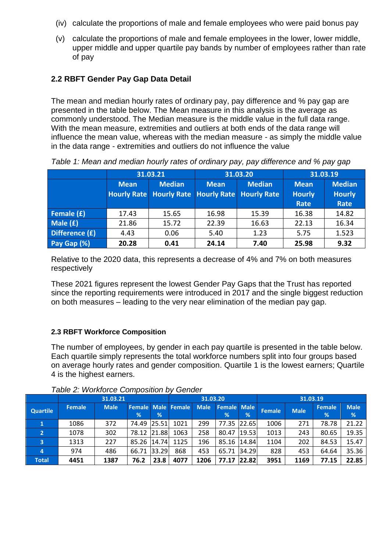- (iv) calculate the proportions of male and female employees who were paid bonus pay
- (v) calculate the proportions of male and female employees in the lower, lower middle, upper middle and upper quartile pay bands by number of employees rather than rate of pay

### **2.2 RBFT Gender Pay Gap Data Detail**

The mean and median hourly rates of ordinary pay, pay difference and % pay gap are presented in the table below. The Mean measure in this analysis is the average as commonly understood. The Median measure is the middle value in the full data range. With the mean measure, extremities and outliers at both ends of the data range will influence the mean value, whereas with the median measure - as simply the middle value in the data range - extremities and outliers do not influence the value

|                |             | 31.03.21                                                         |             | 31.03.20      | 31.03.19                             |                                        |  |
|----------------|-------------|------------------------------------------------------------------|-------------|---------------|--------------------------------------|----------------------------------------|--|
|                | <b>Mean</b> | <b>Median</b><br>Hourly Rate Hourly Rate Hourly Rate Hourly Rate | <b>Mean</b> | <b>Median</b> | <b>Mean</b><br><b>Hourly</b><br>Rate | <b>Median</b><br><b>Hourly</b><br>Rate |  |
| Female (£)     | 17.43       | 15.65                                                            | 16.98       | 15.39         | 16.38                                | 14.82                                  |  |
| Male (£)       | 21.86       | 15.72                                                            | 22.39       | 16.63         | 22.13                                | 16.34                                  |  |
| Difference (£) | 4.43        | 0.06                                                             | 5.40        | 1.23          | 5.75                                 | 1.523                                  |  |
| Pay Gap (%)    | 20.28       | 0.41                                                             | 24.14       | 7.40          | 25.98                                | 9.32                                   |  |

*Table 1: Mean and median hourly rates of ordinary pay, pay difference and % pay gap*

Relative to the 2020 data, this represents a decrease of 4% and 7% on both measures respectively

These 2021 figures represent the lowest Gender Pay Gaps that the Trust has reported since the reporting requirements were introduced in 2017 and the single biggest reduction on both measures – leading to the very near elimination of the median pay gap.

#### **2.3 RBFT Workforce Composition**

The number of employees, by gender in each pay quartile is presented in the table below. Each quartile simply represents the total workforce numbers split into four groups based on average hourly rates and gender composition. Quartile 1 is the lowest earners; Quartile 4 is the highest earners.

|                 | 31.03.21      |             |             |       | 31.03.20                  |             |                         | 31.03.19 |               |             |                    |                  |
|-----------------|---------------|-------------|-------------|-------|---------------------------|-------------|-------------------------|----------|---------------|-------------|--------------------|------------------|
| <b>Quartile</b> | <b>Female</b> | <b>Male</b> | %           | %     | <b>Female Male Female</b> | <b>Male</b> | <b>Female Male</b><br>% | %        | <b>Female</b> | <b>Male</b> | <b>Female</b><br>% | <b>Male</b><br>% |
|                 | 1086          | 372         | 74.49 25.51 |       | 1021                      | 299         | 77.35                   | 22.65    | 1006          | 271         | 78.78              | 21.22            |
| 2               | 1078          | 302         | 78.12       | 21.88 | 1063                      | 258         | 80.47                   | 19.53    | 1013          | 243         | 80.65              | 19.35            |
| 3               | 1313          | 227         | 85.26 14.74 |       | 1125                      | 196         | 85.16                   | 14.84    | 1104          | 202         | 84.53              | 15.47            |
| 4               | 974           | 486         | 66.71       | 33.29 | 868                       | 453         | 65.71                   | 34.29    | 828           | 453         | 64.64              | 35.36            |
| <b>Total</b>    | 4451          | 1387        | 76.2        | 23.8  | 4077                      | 1206        | 77.17                   | 22.82    | 3951          | 1169        | 77.15              | 22.85            |

#### *Table 2: Workforce Composition by Gender*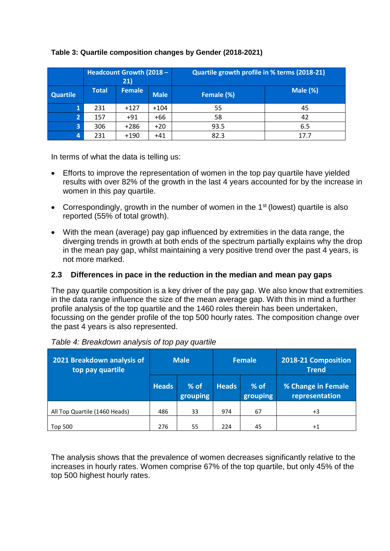|                         | <b>Headcount Growth (2018 -</b><br>(21) |               |             | Quartile growth profile in % terms (2018-21) |          |  |  |  |
|-------------------------|-----------------------------------------|---------------|-------------|----------------------------------------------|----------|--|--|--|
| Quartile                | <b>Total</b>                            | <b>Female</b> | <b>Male</b> | Female (%)                                   | Male (%) |  |  |  |
|                         | 231                                     | $+127$        | $+104$      | 55                                           | 45       |  |  |  |
|                         | 157                                     | $+91$         | $+66$       | 58                                           | 42       |  |  |  |
| $\overline{\mathbf{3}}$ | 306                                     | $+286$        | $+20$       | 93.5                                         | 6.5      |  |  |  |
| 4                       | 231                                     | $+190$        | $+41$       | 82.3                                         | 17.7     |  |  |  |

### **Table 3: Quartile composition changes by Gender (2018-2021)**

In terms of what the data is telling us:

- Efforts to improve the representation of women in the top pay quartile have yielded results with over 82% of the growth in the last 4 years accounted for by the increase in women in this pay quartile.
- Correspondingly, growth in the number of women in the  $1<sup>st</sup>$  (lowest) quartile is also reported (55% of total growth).
- With the mean (average) pay gap influenced by extremities in the data range, the diverging trends in growth at both ends of the spectrum partially explains why the drop in the mean pay gap, whilst maintaining a very positive trend over the past 4 years, is not more marked.

### **2.3 Differences in pace in the reduction in the median and mean pay gaps**

The pay quartile composition is a key driver of the pay gap. We also know that extremities in the data range influence the size of the mean average gap. With this in mind a further profile analysis of the top quartile and the 1460 roles therein has been undertaken, focussing on the gender profile of the top 500 hourly rates. The composition change over the past 4 years is also represented.

| 2021 Breakdown analysis of<br>top pay quartile | <b>Male</b>  |                    |              | <b>Female</b>      | 2018-21 Composition<br><b>Trend</b>  |  |
|------------------------------------------------|--------------|--------------------|--------------|--------------------|--------------------------------------|--|
|                                                | <b>Heads</b> | $%$ of<br>grouping | <b>Heads</b> | $%$ of<br>grouping | % Change in Female<br>representation |  |
| All Top Quartile (1460 Heads)                  | 486          | 33                 | 974          | 67                 | $+3$                                 |  |
| Top 500                                        | 276          | 55                 | 224          | 45                 | $+1$                                 |  |

| Table 4: Breakdown analysis of top pay quartile |  |  |  |  |  |
|-------------------------------------------------|--|--|--|--|--|
|-------------------------------------------------|--|--|--|--|--|

The analysis shows that the prevalence of women decreases significantly relative to the increases in hourly rates. Women comprise 67% of the top quartile, but only 45% of the top 500 highest hourly rates.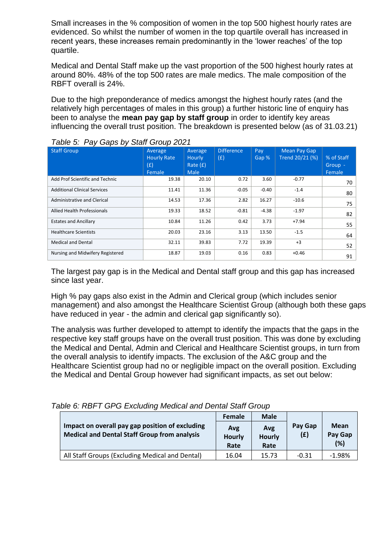Small increases in the % composition of women in the top 500 highest hourly rates are evidenced. So whilst the number of women in the top quartile overall has increased in recent years, these increases remain predominantly in the 'lower reaches' of the top quartile.

Medical and Dental Staff make up the vast proportion of the 500 highest hourly rates at around 80%. 48% of the top 500 rates are male medics. The male composition of the RBFT overall is 24%.

Due to the high preponderance of medics amongst the highest hourly rates (and the relatively high percentages of males in this group) a further historic line of enquiry has been to analyse the **mean pay gap by staff group** in order to identify key areas influencing the overall trust position. The breakdown is presented below (as of 31.03.21)

| <b>Staff Group</b>                  | Average<br><b>Hourly Rate</b><br>(E)<br>Female | Average<br><b>Hourly</b><br>Rate $(f)$<br><b>Male</b> | <b>Difference</b><br>(E) | Pay<br>Gap % | Mean Pay Gap<br>Trend 20/21 (%) | % of Staff<br>Group -<br>Female |
|-------------------------------------|------------------------------------------------|-------------------------------------------------------|--------------------------|--------------|---------------------------------|---------------------------------|
| Add Prof Scientific and Technic     | 19.38                                          | 20.10                                                 | 0.72                     | 3.60         | $-0.77$                         | 70                              |
| <b>Additional Clinical Services</b> | 11.41                                          | 11.36                                                 | $-0.05$                  | $-0.40$      | $-1.4$                          | 80                              |
| <b>Administrative and Clerical</b>  | 14.53                                          | 17.36                                                 | 2.82                     | 16.27        | $-10.6$                         | 75                              |
| <b>Allied Health Professionals</b>  | 19.33                                          | 18.52                                                 | $-0.81$                  | $-4.38$      | $-1.97$                         | 82                              |
| <b>Estates and Ancillary</b>        | 10.84                                          | 11.26                                                 | 0.42                     | 3.73         | $+7.94$                         | 55                              |
| <b>Healthcare Scientists</b>        | 20.03                                          | 23.16                                                 | 3.13                     | 13.50        | $-1.5$                          | 64                              |
| <b>Medical and Dental</b>           | 32.11                                          | 39.83                                                 | 7.72                     | 19.39        | $+3$                            | 52                              |
| Nursing and Midwifery Registered    | 18.87                                          | 19.03                                                 | 0.16                     | 0.83         | $+0.46$                         | 91                              |

*Table 5: Pay Gaps by Staff Group 2021*

The largest pay gap is in the Medical and Dental staff group and this gap has increased since last year.

High % pay gaps also exist in the Admin and Clerical group (which includes senior management) and also amongst the Healthcare Scientist Group (although both these gaps have reduced in year - the admin and clerical gap significantly so).

The analysis was further developed to attempt to identify the impacts that the gaps in the respective key staff groups have on the overall trust position. This was done by excluding the Medical and Dental, Admin and Clerical and Healthcare Scientist groups, in turn from the overall analysis to identify impacts. The exclusion of the A&C group and the Healthcare Scientist group had no or negligible impact on the overall position. Excluding the Medical and Dental Group however had significant impacts, as set out below:

|                                                                                                        |                                                 | <b>Male</b><br><b>Female</b> |                              |                | Mean<br>Pay Gap<br>(%) |  |
|--------------------------------------------------------------------------------------------------------|-------------------------------------------------|------------------------------|------------------------------|----------------|------------------------|--|
| Impact on overall pay gap position of excluding<br><b>Medical and Dental Staff Group from analysis</b> |                                                 | Avg<br><b>Hourly</b><br>Rate | Avg<br><b>Hourly</b><br>Rate | Pay Gap<br>(E) |                        |  |
|                                                                                                        | All Staff Groups (Excluding Medical and Dental) | 16.04                        | 15.73                        | $-0.31$        | $-1.98%$               |  |

*Table 6: RBFT GPG Excluding Medical and Dental Staff Group*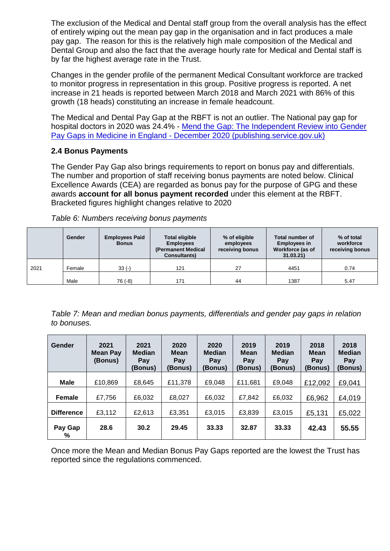The exclusion of the Medical and Dental staff group from the overall analysis has the effect of entirely wiping out the mean pay gap in the organisation and in fact produces a male pay gap. The reason for this is the relatively high male composition of the Medical and Dental Group and also the fact that the average hourly rate for Medical and Dental staff is by far the highest average rate in the Trust.

Changes in the gender profile of the permanent Medical Consultant workforce are tracked to monitor progress in representation in this group. Positive progress is reported. A net increase in 21 heads is reported between March 2018 and March 2021 with 86% of this growth (18 heads) constituting an increase in female headcount.

The Medical and Dental Pay Gap at the RBFT is not an outlier. The National pay gap for hospital doctors in 2020 was 24.4% - [Mend the Gap: The Independent Review into Gender](https://assets.publishing.service.gov.uk/government/uploads/system/uploads/attachment_data/file/944246/Gender_pay_gap_in_medicine_review.pdf)  Pay Gaps in Medicine in England - [December 2020 \(publishing.service.gov.uk\)](https://assets.publishing.service.gov.uk/government/uploads/system/uploads/attachment_data/file/944246/Gender_pay_gap_in_medicine_review.pdf)

### **2.4 Bonus Payments**

The Gender Pay Gap also brings requirements to report on bonus pay and differentials. The number and proportion of staff receiving bonus payments are noted below. Clinical Excellence Awards (CEA) are regarded as bonus pay for the purpose of GPG and these awards **account for all bonus payment recorded** under this element at the RBFT. Bracketed figures highlight changes relative to 2020

|      | Gender | <b>Employees Paid</b><br><b>Bonus</b> | <b>Total eligible</b><br><b>Employees</b><br>(Permanent Medical<br><b>Consultants</b> ) | % of eligible<br>employees<br>Workforce (as of<br>receiving bonus |      | % of total<br>workforce<br>receiving bonus |  |
|------|--------|---------------------------------------|-----------------------------------------------------------------------------------------|-------------------------------------------------------------------|------|--------------------------------------------|--|
| 2021 | Female | $33(-)$                               | 121                                                                                     | 27                                                                | 4451 | 0.74                                       |  |
|      | Male   | 76 (-8)                               | 171                                                                                     | 44                                                                | 1387 | 5.47                                       |  |

*Table 6: Numbers receiving bonus payments*

*Table 7: Mean and median bonus payments, differentials and gender pay gaps in relation to bonuses.*

| Gender            | 2021<br><b>Mean Pay</b><br>(Bonus) | 2021<br><b>Median</b><br>Pay<br>(Bonus) | 2020<br><b>Mean</b><br>Pay<br>(Bonus) | 2020<br><b>Median</b><br>Pav<br>(Bonus) | 2019<br>Mean<br>Pay<br>(Bonus) | 2019<br><b>Median</b><br>Pay<br>(Bonus) | 2018<br><b>Mean</b><br>Pay<br>(Bonus) | 2018<br><b>Median</b><br>Pay<br>(Bonus) |
|-------------------|------------------------------------|-----------------------------------------|---------------------------------------|-----------------------------------------|--------------------------------|-----------------------------------------|---------------------------------------|-----------------------------------------|
| Male              | £10,869                            | £8,645                                  | £11,378                               | £9,048                                  | £11,681                        | £9,048                                  | £12,092                               | £9,041                                  |
| <b>Female</b>     | £7,756                             | £6,032                                  | £8,027                                | £6,032                                  | £7,842                         | £6,032                                  | £6,962                                | £4,019                                  |
| <b>Difference</b> | £3,112                             | £2,613                                  | £3,351                                | £3,015                                  | £3,839                         | £3,015                                  | £5,131                                | £5,022                                  |
| Pay Gap<br>%      | 28.6                               | 30.2                                    | 29.45                                 | 33.33                                   | 32.87                          | 33.33                                   | 42.43                                 | 55.55                                   |

Once more the Mean and Median Bonus Pay Gaps reported are the lowest the Trust has reported since the regulations commenced.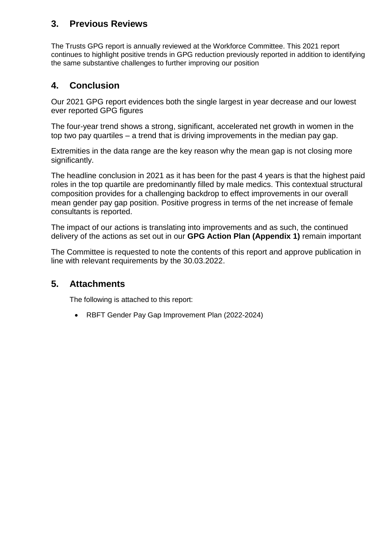# **3. Previous Reviews**

The Trusts GPG report is annually reviewed at the Workforce Committee. This 2021 report continues to highlight positive trends in GPG reduction previously reported in addition to identifying the same substantive challenges to further improving our position

# **4. Conclusion**

Our 2021 GPG report evidences both the single largest in year decrease and our lowest ever reported GPG figures

The four-year trend shows a strong, significant, accelerated net growth in women in the top two pay quartiles – a trend that is driving improvements in the median pay gap.

Extremities in the data range are the key reason why the mean gap is not closing more significantly.

The headline conclusion in 2021 as it has been for the past 4 years is that the highest paid roles in the top quartile are predominantly filled by male medics. This contextual structural composition provides for a challenging backdrop to effect improvements in our overall mean gender pay gap position. Positive progress in terms of the net increase of female consultants is reported.

The impact of our actions is translating into improvements and as such, the continued delivery of the actions as set out in our **GPG Action Plan (Appendix 1)** remain important

The Committee is requested to note the contents of this report and approve publication in line with relevant requirements by the 30.03.2022.

## **5. Attachments**

The following is attached to this report:

RBFT Gender Pay Gap Improvement Plan (2022-2024)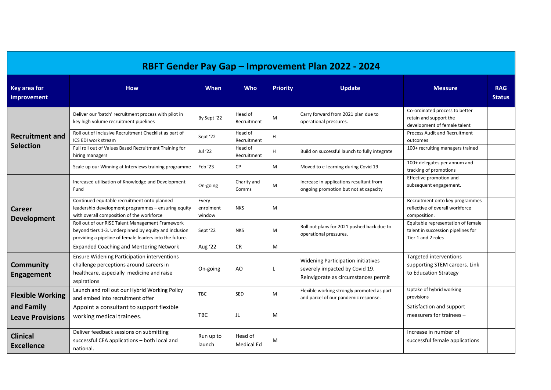| RBFT Gender Pay Gap - Improvement Plan 2022 - 2024 |                                                                                                                                                                      |                              |                              |                 |                                                                                                                     |                                                                                                |                             |  |  |  |
|----------------------------------------------------|----------------------------------------------------------------------------------------------------------------------------------------------------------------------|------------------------------|------------------------------|-----------------|---------------------------------------------------------------------------------------------------------------------|------------------------------------------------------------------------------------------------|-----------------------------|--|--|--|
| <b>Key area for</b><br>improvement                 | <b>How</b>                                                                                                                                                           | <b>When</b>                  | <b>Who</b>                   | <b>Priority</b> | <b>Update</b>                                                                                                       | <b>Measure</b>                                                                                 | <b>RAG</b><br><b>Status</b> |  |  |  |
|                                                    | Deliver our 'batch' recruitment process with pilot in<br>key high volume recruitment pipelines                                                                       | By Sept '22                  | Head of<br>Recruitment       | M               | Carry forward from 2021 plan due to<br>operational pressures.                                                       | Co-ordinated process to better<br>retain and support the<br>development of female talent       |                             |  |  |  |
| <b>Recruitment and</b>                             | Roll out of Inclusive Recruitment Checklist as part of<br>ICS EDI work stream                                                                                        | Sept '22                     | Head of<br>Recruitment       | H               |                                                                                                                     | <b>Process Audit and Recruitment</b><br>outcomes                                               |                             |  |  |  |
| <b>Selection</b>                                   | Full roll out of Values Based Recruitment Training for<br>hiring managers                                                                                            | Jul '22                      | Head of<br>Recruitment       | H               | Build on successful launch to fully integrate                                                                       | 100+ recruiting managers trained                                                               |                             |  |  |  |
|                                                    | Scale up our Winning at Interviews training programme                                                                                                                | Feb '23                      | <b>CP</b>                    | M               | Moved to e-learning during Covid 19                                                                                 | 100+ delegates per annum and<br>tracking of promotions                                         |                             |  |  |  |
|                                                    | Increased utilisation of Knowledge and Development<br>Fund                                                                                                           | On-going                     | Charity and<br>Comms         | M               | Increase in applications resultant from<br>ongoing promotion but not at capacity                                    | Effective promotion and<br>subsequent engagement.                                              |                             |  |  |  |
| <b>Career</b><br><b>Development</b>                | Continued equitable recruitment onto planned<br>leadership development programmes - ensuring equity<br>with overall composition of the workforce                     | Every<br>enrolment<br>window | <b>NKS</b>                   | M               |                                                                                                                     | Recruitment onto key programmes<br>reflective of overall workforce<br>composition.             |                             |  |  |  |
|                                                    | Roll out of our RISE Talent Management Framework<br>beyond tiers 1-3. Underpinned by equity and inclusion<br>providing a pipeline of female leaders into the future. | Sept '22                     | <b>NKS</b>                   | M               | Roll out plans for 2021 pushed back due to<br>operational pressures.                                                | Equitable representation of female<br>talent in succession pipelines for<br>Tier 1 and 2 roles |                             |  |  |  |
|                                                    | <b>Expanded Coaching and Mentoring Network</b>                                                                                                                       | Aug '22                      | <b>CR</b>                    | M               |                                                                                                                     |                                                                                                |                             |  |  |  |
| <b>Community</b><br><b>Engagement</b>              | <b>Ensure Widening Participation interventions</b><br>challenge perceptions around careers in<br>healthcare, especially medicine and raise<br>aspirations            | On-going                     | AO                           |                 | <b>Widening Participation initiatives</b><br>severely impacted by Covid 19.<br>Reinvigorate as circumstances permit | Targeted interventions<br>supporting STEM careers. Link<br>to Education Strategy               |                             |  |  |  |
| <b>Flexible Working</b>                            | Launch and roll out our Hybrid Working Policy<br>and embed into recruitment offer                                                                                    | TBC                          | <b>SED</b>                   | M               | Flexible working strongly promoted as part<br>and parcel of our pandemic response.                                  | Uptake of hybrid working<br>provisions                                                         |                             |  |  |  |
| and Family<br><b>Leave Provisions</b>              | Appoint a consultant to support flexible<br>working medical trainees.                                                                                                | <b>TBC</b>                   | JL                           | M               |                                                                                                                     | Satisfaction and support<br>measurers for trainees -                                           |                             |  |  |  |
| <b>Clinical</b><br><b>Excellence</b>               | Deliver feedback sessions on submitting<br>successful CEA applications - both local and<br>national.                                                                 | Run up to<br>launch          | Head of<br><b>Medical Ed</b> | M               |                                                                                                                     | Increase in number of<br>successful female applications                                        |                             |  |  |  |